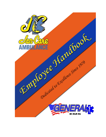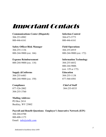# Important Contacts

#### **Communications Center (Dispatch) Infection Control** 304-253-0982 304-673-5773

800-446-6161 800-446-6161

**Safety Officer/Risk Manager Field Operations** 304-255-1136 304-255-6919 800-244-9800 (ext. 166) 800-244-9800 (ext. 172)

**Expense Reimbursement Information Technology** 800-244-9800 (ext. 118) 304-255-6852

**Supply &Uniforms Education** 304-255-6483 304-255-1138 800-244-9800 (ext. 150) 877-560-4501

**Compliance Chief of Staff**  877-526-2002 304-255-0535 304-255-3760

**Mailing Address:**  PO Box 2414 Beckley, WV 25802

 800-244-9800. (ext. 129 or 175)

**Payroll and Benefit Questions: Employer's Innovative Network (EIN)**  304-204-8700 800-408-1173 Email: info@einllc.com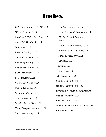# **Index**

*Welcome to Jan-Care/GEMS …4 Mission Statement….5 Jan-Care/GEMS, Who We Are…5 About This Handbook……6 Disclaimer……7 Problem Solving……7 Chain of Command…..8 Equal Opportunity…..12 Employment Status…..13 Work Assignments…..14 Personal Items…..16 Proprietary Property…17 Code of Conduct…..19 Recording Mileage…20 Anti-Harassment…..21 Relationships at Work…22 Use of Computer resources…22 Social Networking…..25* 

*Employee Resource Center…33 Protected Health Information…33 Alcohol/Drug & Substance Abuse...34 Drug & Alcohol Testing…..35 Workplace Investigations…37 Payroll Procedures…..38 Benefits…..39 Vacation…..41 Sick Leave…..42 Bereavement…..43 Family Medical Leave…44 Military Family Leave….45 Reporting Work Related Injuries..46 Medical Treatment…..47 Return to Work…..47 Other Compensation Information…48 Final Word…..49*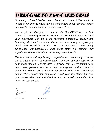# WELCOME TO JAN-CARE/GEMS

*Now that you have joined our team, there's a lot to learn! This handbook is part of our effort to make you feel comfortable about your new career and to help you understand what is expected of you.* 

*We are pleased that you have chosen Jan-Care/GEMS and we look forward to a mutually beneficial relationship. We think that you will find your experience with us to be rewarding personally, socially and financially. Besides the freedom that comes from having a regular pay check and schedule, working for Jan-Care/GEMS offers many advantages. Jan-Care/GEMS puts great effort into making your experience with us educational, rewarding and enjoyable.* 

*The ambulance industry is very competitive and demanding. You are part of a team, a very successful team. Continued success depends on each team member working hard to provide high quality patient care; quick, safe, pleasant service; a clean atmosphere; and a courteous disposition. We will do our best to provide you with a great experience and, in return, we ask that you provide us with your best efforts. You see, your career with Jan-Care/GEMS is truly an equal partnership from which we both benefit.* 

 *Rick Cornett Todd Cornett*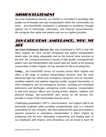# MISSION STATEMENT

*Jan-Care Ambulance Service, Inc./GEMS is committed to providing high quality out-of-hospital care and transportation within the communities we serve. Jan-Care/GEMS Ambulance is dedicated to excellence through optimal use of technology, information, and financial resourcefulness. We recognize that safety and patient care are our highest priorities.* 

# JAN-CARE/GEMS AMBULANCE, WHO WE ARE

*Jan-Care Ambulance Service, Inc. was established in 1970 in Oak Hill, West Virginia. Mr. Rick Cornett recognized that patient transportation needs were not being adequately met by the funeral home services at the time. Mr. Cornett envisioned a service of high quality, compassionate patient care and transportation that would meet the needs of the growing communities of West Virginia. He has devoted his life to providing this.* 

*Today... Jan-Care/GEMS serves 14 counties across West Virginia and offers a full range of medical transportation services; from the most advanced high-risk critical care emergency transports such as neonatal, ventilator patients and patients requiring cardiac surgical intervention, to other emergency and non-emergency services, including pre-scheduled admissions and discharges, emergency scene response, transportation to and from doctors' offices and nursing homes, dialysis, radiation and physical therapy. Jan-Care/GEMS also serves as the primary 911 provider in many of the communities that we serve.* 

*Challenging paramedics, EMT's, communicators, and support staff to be technically proficient while providing compassionate care is a colossal undertaking for any company. We have achieved this goal and created a dynamic presence in ambulance transportation in West Virginia by employing only the best. Motivating, empowering and treating each of our employees with respect, and consistency, we are proud to have the*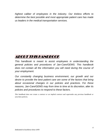*highest caliber of employees in the industry. Our tireless efforts to determine the best possible and most appropriate patient care has made us leaders in the medical transportation services.* 

### ABOUT THIS HANDBOOK

*This handbook is meant to assist employees in understanding the general policies and procedures of Jan-Care/GEMS. This handbook does not contain all the information you will need during the course of your employment.* 

*Our constantly changing business environment, our growth and our desire to provide the best patient care are some of the factors that bring about occasional changes in our policies and practices. For these reasons, Jan-Care/GEMS may from time to time at its discretion, alter its policies and procedures to respond to these factors.* 

*This handbook does not create a contract or an implied contract and supersedes any previous handbook or unwritten policies.*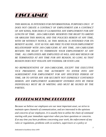

*THIS MANUAL IS INTENDED FOR INFORMATIONAL PURPOSES ONLY. IT DOES NOT CREATE A CONTRACT OF EMPLOYMENT (OR A CONTRACT OF ANY KIND), NOR DOES IT GUARANTEE ANY EMPLOYMENT FOR ANY LENGTH OF TIME. JAN-CARE/GEMS RESERVES THE RIGHT TO AMEND OR ABOLISH THIS MANUAL AND THE POLICIES HEREIN AT ANY TIME, WITH OR WITHOUT NOTICE, AS THIS MANUAL IS INTENDED FOR ITS BENEFIT ALONE. JUST AS YOU ARE FREE TO END YOUR EMPLOYMENT RELATIONSHIP WITH JAN-CARE/GEMS AT ANY TIME, JAN-CARE/GEMS RETAINS THE RIGHT TO TERMINATE YOUR EMPLOYEMENT AT ANY TIME. ALL EMPLOYEES ARE EMPLOYED AT-WILL AND MAY RESIGN OR BE TERMINATED AT ANY TIME FOR ANY REASON, SO LONG AS THAT REASON DOES NOT VIOLATE ANY FEDERAL OR STATE LAW.* 

*NO REPRESENTATIVE OF JAN-CARE/GEMS, EXCEPT THE EXECUTIVE VICE PRESIDENT, HAS THE AUTHORITY TO ENTER INTO ANY AGREEEMENT FOR EMPLOYMENT FOR ANY SPECIFIED PERIOD OF TIME, OR TO OFFER ANY JOB SECURITY NOT EXPRESSLY CONTAINED HEREIN. ANY EMPLOYMENT AGREEMENT ENTERED INTO BY THESE INDIVIDUALS MUST BE IN WRITING AND MUST BE SIGNED BY THE PARTIES.* 

#### PROBLEM SOLVING PROCEDURE

*Because we believe our employees are our most important asset, we strive to maintain open channels of communication, and are interested in the opinions and concerns of our employees. It is usually best to utilize the chain of command starting with your immediate supervisor when you have questions or concerns. If at any time you have problems concerning your work, the enforcement of any rules or regulations, problems with co-workers, supervisors or a policy or*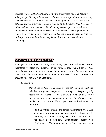*practice of JAN-CARE/GEMS, the Company encourages you to endeavor to solve your problem by talking it over with your direct supervisor as soon as any such problem arises. If the response or course of conduct you receive is not satisfactory, you are always welcome to come to the Executive Vice President's office to discuss your problem. The Company encourages you to talk with management about any and all issues or problems that concern you and will endeavor to resolve them as reasonably and expeditiously as possible. The use of this procedure will not in any way jeopardize your position with the Company.* 

### CHAIN OF COMMAND

*Employees are assigned to one of three areas, Operations, Administration, or Maintenance, under the guidance of Executive Management. Each of these areas is basically structured the same. Each employee group has an immediate supervisor who has a manager assigned to the overall area. Below is a breakdown of the Chain of Command:* 

*Operations;* 

*Operations include all emergency medical personnel, stations, vehicles, equipment assignments, training, med-legal, quality assurance and licensure. This is where patient contact, facility interaction and scene management occur. Operations are subdivided into two areas: Field Operations and Administrative Operations.* 

*Field Operations include the direct management of all EMS personnel, policy compliance, patient interactions, facility relations, and scene management. Field Operations is structured in a traditional quasi-military design with Lieutenants or Captains being the first layer of supervision*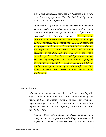*over direct employees, managed by Assistant Chiefs who control areas of operation. The Chief of Field Operations oversees all areas of operation.* 

*Administrative Operations includes the direct management of training, med-legal, quality improvement, workers comp, licensure, and policy design. Administrative Operations is structured in the following manner: The Operations Coordinator is responsible for maintaining the employee training calendar, radio operations, EEO-AAP assistance, and project coordination. ALS and BLS EMS Coordinators are responsible for initial, retest, recert and continuing education at the BLS, ALS and CCT levels and special education projects. The Director of Operations oversees EMS med-legal compliance – EMS education, CCT program, performance improvement, - infection control, WV-OEMS: official squad representative, squad training officer and EMS agency licensure- MCI, research, and medical policy development.* 

#### *Administration*

*Administration includes Accounts Receivable, Accounts Payable, Payroll and Communications. Each of these departments operate independent of one another. Each department has area subdepartment supervisors or lieutenants which are managed by a department Assistant Chief or Captain , and are all overseen by the Chief of Staff.* 

*Accounts Receivable includes the direct management of timely and accurate generation of billing statements to all payers for medical services rendered to patients in our*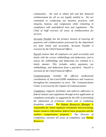*communities. We seek to obtain full and fair financial reimbursement for all we are legally entitled to. We are committed to conducting our business practices with integrity, honesty, and compassion while remaining in compliance with state/federal laws and regulations. The Chief of Staff oversees all areas of reimbursement for services.* 

*Accounts Payable has the primary mission of ensuring all payments and reimbursements processed by the department are done timely and accurately. Accounts Payable is overseen by the Chief Financial Officer.* 

*Payroll ensures that all employees are paid accurately and timely with the correct withholdings and deductions, and to ensure the withholdings and deductions are remitted in a timely manner. This includes salary payments, tax withholdings, and deductions from a paycheck. Payroll is overseen by the Chief Financial Officer.* 

*Communications includes the efficient professional coordination of Jan-Care/GEMS ambulances and resources throughout the communities we serve. The Communications Center is overseen by the Captain of Communications.* 

*Compliance supports, facilitates and enforces adherence to federal statutes and regulations through active application of compliance principles as suggested by the OIG in preventing the submission of erroneous claims and in combating fraudulent conduct. The Human Resources Manager is responsible for initial employee orientation and processing, human resource information, federal leave programs and the workers compensation program. The Director of Compliance oversees all areas of compliance and Human Resources.*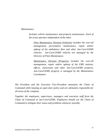#### *Maintenance*

*Includes vehicle maintenance and property maintenance. Each of the areas operates independent of the other.* 

*Fleet Maintenance Division (Vehicles) includes the over-all management, preventative maintenance, repair and/or upkeep of the ambulance fleet and other Jan-Care/GEMS vehicles. Jan-Care/GEMS vehicles are managed by the Director of Fleet Maintenance.* 

*Maintenance Division (Property) includes the over-all management, repair and/or upkeep of the EMS stations, offices, classrooms and other Jan-Care/GEMS property. Jan-Care/GEMS property is managed by the Maintenance Coordinator.* 

*The President and the Executive Vice-President maintains the Chain of Command while keeping an open door policy and are ultimately responsible for all areas of the company.* 

*Together the employees, supervisors, managers and executive staff form the Chain of Command at Jan-Care/GEMS. Employees should use the Chain of Command to mitigate their issues and problems whenever possible.*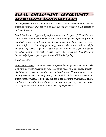# EQUAL EMPLOYMENT OPPORTUNITY – AFFIRMATIVE ACTION PROGRAM

*Our employees are our most important resource. We are committed to positive employee relations. Our policy is to treat all employees fairly in all aspects of their employment.* 

*Equal Employment Opportunity-Affirmative Action Program (EEO-AAP). Jan-Care/GEMS Ambulance is committed to equal employment opportunity for all qualified employees and applicants for employment without regard to race, color, religion, sex (including pregnancy), sexual orientation, national origin, disability, age, genetics (GINA), veteran status (Vietnam Era, special disabled or other eligible veteran). Please notify the Executive Vice-President immediately if you suspect any violation of EEO-AAP policy.* 

*Jan-Care/GEMS* 

*JAN-CARE/GEMS is committed to ensuring equal employment opportunity. The Company does not discriminate with respect to race, religion, color, ancestry, disability, sex, sexual orientation, age, national origin, Veteran status, or any other protected class under federal, state, and local law with respect to its employment decisions. This policy applies to the treatment of employees during employment, selection for training, promotion, transfer, pay rates and other forms of compensation, and all other aspects of employment.*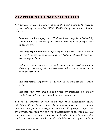### DEFINITION OF EMPLOYEE STATUS

*For purposes of wage and salary administration and eligibility for overtime payment and employee benefits, JAN-CARE/GEMS employees are classified as follows:* 

*Full-time regular employees: Field employees may be scheduled by administration five (5) day shifts per week or three (3) twenty four (24) hour shifts per week.* 

*Full-times regular employees: Office employees are hired to work a normal work week in accordance with established schedule of at least 40 hours per week on regular basis.* 

*Full-time regular employees: Dispatch employees are hired to work an alternating schedule of 36 hours one week and 44 hours the next as to established schedule.* 

*Part-time regular employees: Field: four (4) full shifts per six (6) month period* 

*Part-time employees: Dispatch and Office are employees that are not regularly scheduled for more than 36 hour per work week.* 

*You will be informed of your initial employment classification during orientation. If you change positions during your employment as a result of a promotion, transfer or otherwise, your supervisor will inform you. If you have any questions regarding your employment classification at any time, please ask your supervisor. Attendance is an essential function of every job status. New employees have a ninety (90) day Benefits Eligibility Period. Upon completion*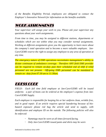*of the Benefits Eligibility Period, employees are obligated to contact the Employer's Innovative Network for information on the benefits available.* 

# WORK ASSIGNMENTS

*Your supervisor will assign your work to you. Please ask your supervisor any questions about your work assignments.* 

*From time to time, you may be assigned to different stations, departments or schedules which are not within what you may consider normal assignments. Working at different assignments gives you the opportunity to learn more about the company's total operation and to become a more valuable employee. Jan-Care/GEMS reserve the right to assign any employee to any area of operation at any time.* 

*The emergency nature of EMS operations necessitates management's ability to dictate continuum of ambulance coverage. Therefore ANY field EMS provider can be required to remain on-duty past their scheduled end of shift if relief personnel are not present. Off-going EMS personnel can be mandated to remain on –duty from 07:30 am to 11:30am.* 

# DRESS CODE

*FIELD: Each full time field employee at Jan-Care/GEMS will be issued uniforms a pair of boots can be ordered at the employee's expense from Jan-Care/GEMS Supply.* 

*Each employee is responsible for keeping his or her uniform clean, wrinkle free, and in good repair. If an article requires special laundering because of biohazard exposure please red bag the article and send to supply, with identification and employee ID on the outside. The following policies will also be enforced:* 

- *Nametags must be worn at all times forward facing.*
- *Only Jan-Care/GEMS issued pants and shirts may be worn*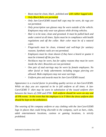- *Boots must be clean, black , polished and with rubber lugged soles*
- *Only Black Belts are permitted*
- *Only Jan-Care/GEMS issued ball caps may be worn, do rags are not permitted.*
- *Only prescription sun glasses may be worn outside of the vehicle. Employees may only wear sun glasses while driving vehicles.*
- *Hair is to be neat, clean and groomed. It must be pulled back and under control at all times. Styles must be in compliance with health regulations and off the collar. Hair color must be of a natural color.*
- *Fingernails must be clean, trimmed and well-kept for sanitary reasons. Synthetic nails are not permitted.*
- *Employees must be clean shaven if they have a beard or goatee it must be trimmed off the jaw line.*
- *Necklaces may be worn, but for safety reasons they must be worn inside the shirt. Bracelets are not permitted.*
- *One pair of stud earrings may be worn by female employees. No other facial or body adornments including tongue piercing are allowed. Male employees may not wear earrings.*
- *Uniform pins and awards must be Jan-Care/GEMS issued.*

*Appearance is a crucial factor in providing quality service at Jan-Care/GEMS. While on duty you are expected to be in full uniform at all times. A Jan-Care/GEMS T- shirt may be worn in substitution of the issued uniform shirt between the hours of 2300 and 0700. Full uniform should be worn on any and all PR events. In the event that the employee is in T-Shirt the dress uniform shirt should be kept on the ambulance.* 

*The wearing of the company uniform or any clothing with the Jan-Care/GEMS logo in places that could bring discredit to the company, such as bars, clubs, adult entertainment locations, casinos or gaming locations, is strictly prohibited.*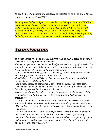*In addition to the uniform, the employee is expected to be clean and odor free while on duty at Jan-Care/GEMS.* 

*The uniforms, badge, and photo ID issued to you belong to Jan-Care/GEMS and upon your separation of employment you are required to return all issued uniforms and equipment within 72 hours of separation. If Uniforms are not returned in a timely manner, Jan-Care/GEMS will pursue recovery of any uniforms not returned by separated employee through all legal means possible, including, but not limited to, placement in collections and legal action.* 

#### **STATION VISITATION**

*In-station visitation will be allowed between 0930 and 2200 hours seven days a week based on the following parameters.* 

*-Each employee may have immediate family members or a "significant other" in station for up to a total of 60 minutes each regular shift period Monday through Friday and up to 90 minutes on Saturday and Sunday.* 

*-On Easter, Memorial Day, July 4th, Labor Day, Thanksgiving and New Year's Day four (4) hours of visitation will be allowed* 

*-On Christmas Eve and Christmas Day the station will be open for visitation anytime between 0730 and 2300 hours.* 

*-Stipulations placed on station visitation within the categories listed above: -the employee being visited must physically be on-station, if the employee must leave for any reason the visitors must also leave.* 

*-Visitors are allowed in station "common" areas only; i.e. living room, dining room, kitchen and bathroom. No visitors are allowed in bedrooms or in ambulances.* 

*-A professional conservative business atmosphere must be present within the station and visitors must conduct themselves in an orderly manner at all times. -The employee is responsible for the actions of the visitor and any damages that may occur.* 

*-Visitors cannot interfere with other employees at the station or with company operations. It is understood that stations are "work areas" for on-duty personnel. Employees are to utilize their on-station time to complete paperwork and daily tasks, study as necessary and remain rested. Any interference with this daily routine is not acceptable.*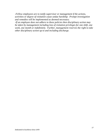*-Fellow employees are to notify supervisor or management if the actions, activities or degree of visitation cause undue hardship. Prompt investigation and remedies will be implemented as deemed necessary.* 

*-If an employee does not adhere to these policies then disciplinary action may be taken by management including loss of visitation privileges for one shift, one week, one month or indefinitely. Further, management reserves the right to take other disciplinary action up to and including discharge.*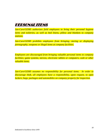### PERSONAL ITEMS

*Jan-Care/GEMS authorizes field employees to bring their personal hygiene items and toiletries, as well as bed linens, pillow and blankets to company stations.* 

*Jan-Care/GEMS prohibits employees from bringing, storing or displaying pornography, weapons or illegal items at company facilities.* 

*Employees are discouraged from bringing valuable personal items to company facilities; game systems, stereos, electronic tablets or computers, cash or other valuable items.* 

*Jan-Care/GEMS assumes no responsibility for personal items. In order to discourage theft, all employees have a responsibility, upon request, to open lockers, bags, packages and automobiles on company property for inspection.*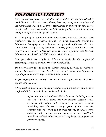# PROPRIETARY PROPERTY

*Some information about the activities and operations of Jan-Care/GEMS is available to the public. However, officers, directors, managers and employees of Jan-Care/GEMS will, in the course of their service or employment, have access to information that is not readily available to the public, or to individuals not acting in an official or employment capacity.* 

*It is the policy of Jan-Care/GEMS that officers, directors, managers and employees may not disclose, divulge, or make accessible confidential information belonging to, or obtained through their affiliation with Jan-Care/GEMS to any person, including relatives, friends, and business and professional associates, unless such persons have a legitimate need for such information, and Jan-Care/GEMS has authorized disclosure.* 

*Employees shall use confidential information solely for the purpose of performing services as an employee of Jan-Care/GEMS.* 

*Do not reference or site company clients, patients, partners, or customers without their express consent. In all cases, do not publish any information regarding a patient PHI. Refer to HIPAA Privacy Policy.* 

*Respect copyright laws, and reference or cite sources appropriately. Plagiarism applies online as well.* 

*All information disseminated to employees that is of a proprietary nature and is confidential information includes, but is not limited to:* 

> *Information about Jan-Care/GEMS's finances, including current and future business plans, computer systems, security codes, personnel information and associated documents, strategic scheduling, ops planners, coverage plans, facility contracts, contract bids, call count and analysis reports, or CAD reports obtained while working as an employee of Jan-Care/GEMS Ambulance will be held in the strictest confidence from any outside person or agency;*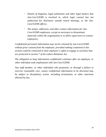- *Details of litigation, legal settlements and other legal matters that Jan-Care/GEMS is involved in, which legal counsel has not authorized for disclosure outside board meetings, or the Jan-Care/GEMS offices;*
- *The names, addresses, and other contact information for Jan-Care/GEMS employees, except as necessary to disseminate materials within the organization or to allow supervisors to contact employees;*

*Confidential personnel information may not be released by Jan-Care/GEMS without prior consent from the employee; provided nothing contained in this section could be construed to limit employee's rights to engage in activities that are protected in section 7 of the Labors Relations Act.* 

*The obligation to keep information confidential continues after an employee, or other individual ends employment with Jan-Care/GEMS.* 

*Any staff member, or other individual who purposely, or through a failure to exercise reasonable care, causes confidential information to be disclosed may be subject to disciplinary action, including termination, or other sanctions allowed by law.*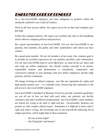# EMPLOYEE CODE OF CONDUCT

*As a Jan-Care/GEMS employee, you have obligation to perform within the standards outlined in our Code of Conduct.* 

*Work to the best of your ability. We expect you to be on time and complete your full shift.* 

*Follow the company policies. We expect you to follow the rules in this handbook and to observe company policies and practices.* 

*Be a good representative of Jan-Care/GEMS. You are Jan-Care/GEMS to our patients, their families, the public and other stakeholders with whom you have contact.* 

*Be a good team member. We are all members of one team. Our common goal is to provide an excellent experience for our patients, facilities, and communities. For the Jan-Care/GEMS team to work effectively, we must all do our share and also help our fellow employees. You should conduct yourself in an honest, responsible manner and demonstrate a considerate, cooperative and constructive attitude in your dealings with your fellow employees, facility staff, patients, and the community.* 

*The image of being an ethical company - just like our reputation for safety and high quality patient care – is a valuable asset. Preserving that reputation is the job of every Jan-Care/GEMS employee.* 

*Jan-Care/GEMS's Standard of Business Practices provide consistent guidelines we can all use in how we deal with each other, our patients, our facility customers and other healthcare professionals. Jan-Care/GEMS's team members are known for trying to do what is right and fair. Occasionally, business can present us with complex ethical issues. Sometimes it is difficult to know what's right and what's wrong. We encourage you to ask yourself the following list of simple questions, which might help in these situations.* 

- *Are my actions legal?*
- *Am I being fair and honest?*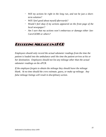- *Will my actions be right in the long run, and not be just a shortterm solution?*
- *Will I feel good about myself afterwards?*
- *Would I feel okay if my actions appeared on the front page of the local newspaper?*
- *Am I sure that my actions won't embarrass or damage either Jan-Care/GEMS or others?*

#### RECORDING MILEAGE ON EPCR

*Employees should only record the actual odometer readings from the time the patient is loaded into the ambulance until the time the patient arrives at his or her destination. Employees should not list any mileage other than the actual odometer readings on the ePCR.* 

*If the employee forgets to obtain the mileage they should leave the mileage blank. At no time should the crew estimate, guess, or make up mileage. Any false mileage listings will result in disciplinary action.*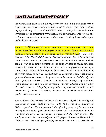### ANTI-HARASSMENT POLICY

*Jan-Care/GEMS believes that all employees are entitled to a workplace free of harassment, and expects that all employees will treat each other with courtesy, dignity and respect. Jan-Care/GEMS takes its obligation to maintain a workplace free of harassment very seriously and any employee who violates this policy and engages in such conduct will be subject to disciplinary action, up to and including discharge.* 

*Jan-Care/GEMS will not tolerate any type of harassment or bullying directed at any employee because of that employee's gender, race, religion, age, disability, national origin, ancestry or any other legally protected basis. Moreover, because of Jan-Care/GEMS' strong disapproval of offensive or inappropriate sexual conduct at work, all personnel must avoid any action or conduct which could be viewed as sexual harassment, including unwelcome sexual advances, requests for sexual acts or favors, or other verbal or physical conduct of a sexual nature. This prohibition against harassment includes but is not limited to all verbal, visual or physical conduct such as comments, slurs, jokes, making gestures, threats, cartoons, touching or other similar conduct. Additionally, this policy prohibits harassing behavior communicated through any electronic media source such as email, text messaging, internet websites, and any other electronic resource. This policy also prohibits any comment or action that is gender-based, whether it is sexually oriented or not, which could constitute gender-based harassment.* 

*Any employee who believes that he or she has been subjected to any type of harassment at work should bring this matter to the immediate attention of his/her supervisor. If the supervisor is the offending party or if for any reason an employee does not feel comfortable talking with the supervisor about the complaint, the employee may address the issue with the Chief of Staff. The employee should also immediately contact Employers' Innovative Network LLC if this occurs. Any employee pursuing any such complaint is assured that no*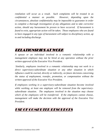*retaliation will occur as a result. Such complaints will be treated in as confidential a manner as possible. However, depending upon the circumstances, absolute confidentiality may be impossible to guarantee in order to complete a thorough investigation of any allegations and to take corrective action, should any harassment be proven to have occurred. If harassment is found to exist, appropriate action will be taken. Those employees who are found to have engaged in any type of harassment will subject to disciplinary action, up to and including discharge.* 

### RELATIONSHIPS AT WORK

*A spouse or an individual involved in a romantic relationship with a management employee may not be hired at any operation without the prior written approval of the Executive Vice President.* 

 *Similarly, employees involved in a romantic relationship may not work in a direct supervisory-subordinate situation or any other situation in which influence could be exerted, directly or indirectly, on future decisions concerning the status of employment, transfer, promotion, or compensation without the written approval of the Executive Vice President.* 

*If employees working in a supervisory-subordinate situation become involved while working, at least one employee will be removed from the supervisorysubordinate situation. The employees involved in the situation may choose which of the employees will be transferred. If the employees cannot choose, management will make the decision with the approval of the Executive Vice President.* 

### USE OF COMPUTER RESOURCES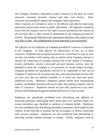*The Company maintains information system resources in the form of e-mail, electronic voicemail, facsimile, internet and other such devices. These resources are provided to support the Company's daily operations.* 

*These resources are intended to assist in the efficient and effective day-to-day operations, and provide access to public information. All employees should be aware that the company reserves the right to access and disclose the contents of all electronic files or data created or maintained on all Company-provided IT systems. No personnel shall have any expectation of privacy with respect to any such files or data. The confidentiality of such materials is not guaranteed.* 

*The effective use by employees of Company-provided IT resources is important to the Company. To help improve the effectiveness of your use of these resources, incidental and occasional personal use is permitted so long as such use does not interfere with existing rules or policies of the Company, disrupt or distract the conducting of Company business due to the volume or frequency, involve solicitation, involve a for-profit personal business activity, have the potential to harm the Company or its personnel, or involve illegal activities. Company personnel are specifically directed to be responsible in their use of Company IT resources by accessing only files, data and protected accounts that are your own, that are publicly available, or to which you have been given authorized access. Moreover, employees should refrain from monopolizing systems, overloading networks with excess data, and wasting computer time or other IT resources. Employees should not give their password to any other persons and should guard against unauthorized access to your account.* 

*Employees are specifically prohibited from distributing any offensive or harassing comments, disparaging others based upon race, national origin, sex, sexual orientation, age, disability or political or religious beliefs. Employees are also prohibited from distributing incendiary statements which might include violence if they describe or promote the use of weapons or devices associated with terrorist activities. Employees are also prohibited from distributing or soliciting sexually oriented messages or images. Finally, employees must be*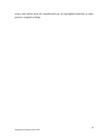*aware and refrain from the unauthorized use of copyrighted materials or other person's original writings.*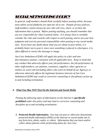# SOCIAL NETWORKING POLICY

*In general, staff members should think carefully before posting online, because most online social platforms are open for all to see. Despite privacy policies, staff members cannot always be sure who will view, share, or archive the information that is posted. Before posting anything, you should remember that you are responsible for what is posted online. It is always best to carefully consider the risks and rewards with respect to each posting, and to use your best judgment and exercise personal responsibility when posting to any social media sites. If you have any doubt about what you are about to post online, it is probably better not to post it, since once something is placed in cyberspace, it is often difficult to retract the message or image.* 

*Jan-Care Ambulance/GEMS will apply this policy in a fair and nondiscriminatory manner, consistent with all applicable laws. Keep in mind that any conduct that adversely affects your job performance, the job performance of other staff members, our patients, customers, suppliers, other agencies or entities we work with (including others who work on behalf of our Agency), or otherwise adversely affects the legitimate business interests of Jan-Care Ambulance/GEMS may result in corrective counseling or disciplinary action up to and including termination.* 

#### *A. What You May NOT Post On the Internet and Social Media*

*Posting the following types of information on the Internet is specifically prohibited under this policy and may lead to corrective counseling and discipline up to and including termination:* 

*1. Protected Health Information. You may not post or otherwise disseminate protected health information (PHI) on the Internet or social media site in any form (text, photo, audio, or video). Information that you learn and/or collect about patients while performing duties for Jan-Care*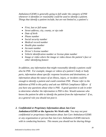*Ambulance/GEMS is generally going to fall under the category of PHI whenever it identifies or reasonably could be used to identify a patient. Things that identify a patient include, but are not limited to, a patient's:* 

- *First, last or full name*
- *Street address, city, county, or zip code*
- *Date of birth*
- *Phone number*
- *Social security number*
- *Medical record number*
- *Health plan number*
- *Account number*
- *Driver's license number*
- *Vehicle identification number or license plate number*
- *Image or video where the image or video shows the patient's face or other identifying feature*

*In addition, any information that might reasonably identify a patient could also be PHI. For example, images or videos of a patient's body or body parts, information about specific response locations and destinations, or information about the nature of an illness, injury, or incident could be enough to identify a patient and could constitute PHI. Please refer to the definition of PHI in this policy and ask our HIPAA Compliance Officer if you have any questions about what is PHI. A good question to ask in order to determine whether the information is PHI is this: Would someone who knows the patient be able to identify the patient from the information? If so, as a general rule you should not post it.* 

*2. Confidential or Proprietary Information about Jan-Care Ambulance/GEMS or the Agencies We Work with. You may not post confidential or proprietary information about Jan-Care Ambulance/GEMS or any organization or person that Jan-Care Ambulance/GEMS interacts with in conducting business. This means you should not be sharing things*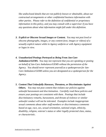*like undisclosed details that are not publicly known or obtainable, about our contractual arrangements or other confidential business information with other parties. Please refer to the definition of confidential or proprietary information in this policy, and you may consult with a supervisor if you have any questions about what information might fall under this definition.* 

- *3. Explicit or Obscene Sexual Images or Content. You may not post lewd or obscene photographs, images, or any content (text, images or videos) of a sexually explicit nature while in Agency uniform or with Agency equipment or logos in view.*
- *4. Unauthorized Postings Portrayed as Being From Jan-Care Ambulance/GEMS. You may not represent that you are speaking or posting on behalf of Jan-Care Ambulance/GEMS without the permission of the Agency. You should never represent yourself as a spokesperson for Jan-Care Ambulance/GEMS unless you are designated as a spokesperson for the Agency.*
- *5. Content That Unlawfully Harasses, Threatens, or Discriminates Against Others. You may not post content that violates our policies against unlawful harassment and discrimination. Carefully read these policies and ensure your postings are consistent with them. Postings that include discriminatory remarks, harassment, and threats of violence or similar unlawful conduct will not be tolerated. Examples include inappropriate sexual comments about other staff members or discriminatory comments based on age, race, sex, sexual orientation, national origin, ethnicity, disability, religion, veteran's status or other legally protected class, status, or characteristic.*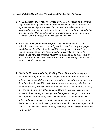#### *B. General Rules About Social Networking Related to the Workplace*

- *1. No Expectation of Privacy on Agency Devices. You should be aware that any Internet activity performed on Agency-owned, operated, or controlled equipment or via Agency Internet (hard-wired or wireless) may be monitored at any time and without notice to ensure compliance with the law and this policy. This includes Agency workstations, laptops, mobile data terminals, smart phones, and other electronic devices.*
- *2. No Access to Illegal or Pornographic Sites. You may not access any unlawful sites or any lewd or sexually explicit sites (such as pornography sites) through Jan-Care Ambulance/GEMS equipment or through the Agency Internet connection (hard-wired or wireless) at any time. In addition, you may not access such sites with personal equipment while on Jan-Care Ambulance/GEMS premises or at any time through Agency hardwired or wireless networks.*
- *3. No Social Networking during Working Time. You should not engage in social networking activities while engaged in patient care activities or in patient care areas, while performing work duties (including when operating Jan-Care Ambulance/GEMS vehicles or while in an Agency vehicle even when not driving) or when work assignments (such as clean up, restocking, or PCR completion) are not completed. However, you are permitted to access the Internet on your own personal equipment when you are not on working time. Non-working time is when you have completed all work duties and no assignments or work is pending, such as when you are on a designated meal or break period, or when you would otherwise be permitted to watch TV, relax in the crew lounge, or engage in other personal activities while on duty.*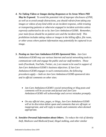- *4. No Taking Videos or Images during Responses or In Areas Where PHI May be Exposed. To avoid the potential risk of improper disclosure of PHI, as well as to avoid unsafe distractions, you should refrain from taking any images or videos of any kind while on an incident response, while treating or transporting patients or otherwise engaged in incident activities unless expressly authorized to do so by Jan-Care Ambulance/GEMS. Remember, your main focus should be on patient care and the incident itself. This prohibition includes taking videos or images in the billing office, file room, or other areas where patient information may potentially be captured in an image.*
- *5. Posting on Jan-Care Ambulance/GEMS-Sponsored Sites. Jan-Care Ambulance/GEMS may use various Internet and social networking tools to communicate with and engage the public and our staff members. Those tools (Facebook, YouTube, Twitter, etc.) are meant to be used in support of Jan-Care Ambulance/GEMS's business objectives. If Jan-Care Ambulance/GEMS engages in such communication, the following procedures apply -- both on Jan-Care Ambulance/GEMS-sponsored sites and in official comments on other sites:* 
	- *Jan-Care Ambulance/GEMS's social networking or blog posts and comments will be accurate and factual and Jan-Care Ambulance/GEMS will acknowledge and correct mistakes promptly.*
	- *On any official sites, pages, or blogs, Jan-Care Ambulance/GEMS will at its discretion delete spam and comments that are off-topic or inappropriate, and will reply to emails and comments when deemed appropriate.*
- *6. Sensitive Personal Information about Others. To reduce the risk of identity theft, Medicare and Medicaid fraud, illegal stalking, and other similar*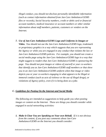*illegal conduct, you should not disclose personally identifiable information (such as contact information obtained from Jan-Care Ambulance/GEMS files or records), Social Security numbers, credit or debit card or financial account numbers, medical insurance or account numbers or other similar information about staff members, patients, customers or vendors on the Internet.* 

*7. Use of Jan-Care Ambulance/GEMS Logo and Uniforms in Images or Video. You should not use the Jan-Care Ambulance/GEMS logo, trademark or proprietary graphics in a way which suggests that you are representing the Agency or while you are engaged in any conduct that violates the law or Jan-Care Ambulance/GEMS policies. For example, you should not create a social media page using the Jan-Care Ambulance/GEMS logo in a way that might suggest to readers that Jan-Care Ambulance/GEMS is sponsoring the page. You should not post images or videos of yourself or your co-workers that identify you as Jan-Care Ambulance/GEMS staff members or that show you in an Jan-Care Ambulance/GEMS uniform when that image or video depicts you or your co-workers engaging in what appears to be illegal or immoral conduct (such as acts of violence or the use of illegal drugs), or violations of Agency policy, even if it is being done as a joke.* 

#### *C. Guidelines for Posting On the Internet and Social Media*

*The following are intended as suggestions to help guide you when posting images or content on the Internet. These are things you should consider while engaged in social networking activities:* 

*1. Make it Clear You are Speaking on Your own Behalf. If it is not obvious from the content, if you post any comments about Jan-Care Ambulance/GEMS on the Internet you should consider:*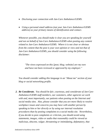- *Disclosing your connection with Jan-Care Ambulance/GEMS.*
- *Using a personal email address (not your Jan-Care Ambulance/GEMS address) as your primary means of identification and contact.*

*Whenever possible, you should make it clear you are speaking for yourself and not on behalf of Jan-Care Ambulance/GEMS when posting any content related to Jan-Care Ambulance/GEMS. Where it is not clear or obvious from the content that the post is your own opinion or view and not that of Jan-Care Ambulance/GEMS, you should consider using the following disclaimer:* 

*"The views expressed on this [post; blog; website] are my own and have not been reviewed or approved by my employer."* 

*You should consider adding this language in an "About me" section of your blog or social networking profile.* 

*2. Be Considerate. You should be fair, courteous, and considerate of Jan-Care Ambulance/GEMS staff members, our customers, other agencies we work with and, most importantly, our patients when posting on the Internet and social media sites. Also, please consider that you are more likely to resolve workplace issues and concerns you may have with another person by speaking to him or her directly or by using our internal resolution procedures than by posting complaints to a social media site. Nevertheless, if you decide to post complaints or criticism, you should avoid using statements, images, video or audio that reasonably could be viewed as malicious, obscene, vulgar, threatening or intimidating, defamatory, that*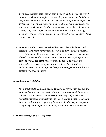*disparages patients, other agency staff members and other agencies with whom we work, or that might constitute illegal harassment or bullying, or illegal discrimination. Examples of such conduct might include offensive posts meant to harm Jan-Care Ambulance/GEMS or an individual; or posts that could contribute to a hostile work environment or discriminate on the basis of age, race, sex, sexual orientation, national origin, ethnicity, disability, religion, veteran's status or other legally protected class, status, or characteristic.* 

*3. Be Honest and Accurate. You should strive to always be honest and accurate when posting information or news, and if you make a mistake, correct it quickly. Be open and honest about any previous posts you have altered. Remember that the Internet archives almost everything; so even deleted postings can often be recovered. You should not post any information or rumors that you know to be false about Jan-Care Ambulance/GEMS, other staff members, customers, patients, our business partners or our competitors.* 

#### *D. Retaliation is Prohibited*

*Jan-Care Ambulance/GEMS prohibits taking adverse action against any staff member who makes a good faith report of a possible violation of this policy or for cooperating in an investigation. Any staff member who retaliates against another staff member for reporting a possible deviation from this policy or for cooperating in an investigation may be subject to disciplinary action, up to and including termination from employment.* 

#### *E. Any Questions, Contact a Supervisor*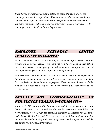*If you have any questions about the details or scope of this policy, please contact your immediate supervisor. If you are unsure if a comment or image you are about to post is acceptable or not acceptable under this or any other Jan-Care Ambulance/GEMS policy, you are always welcome to discuss it with your supervisor or the Compliance Department.* 

# EMPLOYEE RESOURCE CENTER (EMPLOYEE INTRANET)

*Upon completing employee orientation, a computer login account will be created for employee usage. The login id# will be assigned at orientation. Access this account by navigating via web browser to www.jancare.com and clicking on employee login at the top right hand of the page.* 

*This resource center is intended to aid both employees and management in facilitating communication via the online message center, as well as making forms and other tools available to employees. There are several tools available. Employees are required to login at least once every shift to check messages and receive updates.* 

# PRIVACY AND CONFIDENTIALITY OF PROTECTED HEALTH INFORMATION

*Jan-Care/GEMS operate within National standards for the protection of certain health information as outlined by the Health Insurance Portability and Accountability Act (HIPAA) and Health Information Technology for Economic and Clinical Health Act (HITECH). It is the responsibility of all personnel to maintain the confidentiality and privacy of patient health information and the equipment retaining such information.*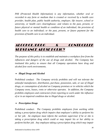*PHI (Protected Health Information) is any information, whether oral or recorded in any form or medium that is created or received by a health care provider, health plan, public health authority, employer, life insurer, school or university, or health care clearinghouse; and relates to the past, present, or future physical or mental health or condition of an individual; the provision of health care to an individual; or the past, present, or future payment for the provision of health care to an individual.* 

# ALCOHOL/DRUG & CONTROLLED SUBSTANCE ABUSE POLICY

*The purpose of this policy is to establish and maintain a workplace free from the influences and dangers of the use of drugs and alcohol. The Company has instituted this policy to ensure that all Company operations have drug and alcohol free work environments.* 

#### *Illegal Drugs and Alcohol*

Prohibited conduct: *The Company strictly prohibits and will not tolerate the unlawful manufacture, distribution, purchase, possession, sale, or use of illegal drugs, or consumption of alcohol on Company premises or in vehicles which the Company owns, leases, rents or otherwise operates. In addition, the Company prohibits employees and contractors from reporting to work under the influence of or in an impaired condition due to illegal drugs or alcohol.* 

#### *Prescription Drugs*

Prohibited conduct: *The Company prohibits employees from working while taking a prescription drug which impairs that employee's ability to perform his or her job. An employee must inform the worksite supervisor if he or she is taking a prescription drug which could or may impair his or her ability to perform his/her job. Any employee taking a prescription drug which may impair*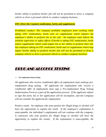*his/her ability to perform his/her job will not be permitted to drive a company vehicle or drive a personal vehicle to conduct company business.* 

#### *OTC (Over the Counter) medication, herbs and supplements*

*Prohibited conduct: The company prohibits employees from working while taking OTC medications, herbs and /or supplements which impairs the employee's ability to perform his or her job. An employee must inform the worksite supervisor or safety officer if he/she is taking OTC medications, herbs and/or supplements which could impair his or her ability to perform their job. Any employee taking an OTC medication, herbs and /or supplements which may impair his/her ability to perform his/her job will not be permitted to drive a company vehicle or drive a personal vehicle to conduct company business.* 

## DRUG AND ALCOHOL TESTING

#### *Pre-employment Drug Testing*

*All applicants who receive conditional offers of employment must undergo preemployment drug testing. All applicants for employment who receive a conditional offer of employment must sign a Pre-employment Drug Testing Authorization Form as a part of the application process. If the applicant refuses to sign this form, his or her application will be incomplete, and the Company will not consider the applicant for employment.* 

Positive result: *An employee who tests positive for illegal drugs or alcohol will have the opportunity to explain the result. If the employee's explanation is unacceptable, the individual's employment will not continue with the company. A contractor who tests positive for illegal drugs or alcohol will have the opportunity to explain the results. If the explanation is unacceptable, the*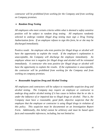*contractor will be prohibited from working for the Company and from working on Company premises.* 

#### *Random Drug Testing*

*All employees who meet certain criteria within what is deemed a safety sensitive position will be subject to random drug testing. All employees randomly selected to undergo random illegal drug testing must sign a Drug Testing Authorization form. If an employee refuses to sign this form, he or she may be discharged immediately.* 

Positive result: *An employee who tests positive for illegal drugs or alcohol will have the opportunity to explain the result. If the employee's explanation is unacceptable, the Company will discharge the employee immediately. An employee whose test is negative for illegal drugs and alcohol will be reinstated immediately. A contractor who tests positive for illegal drugs or alcohol will have the opportunity to explain the results. If the explanation is unacceptable, the contractor will be prohibited from working for the Company and from working on company premises.* 

#### *Reasonable Suspicion Drug and Alcohol Testing*

*All employees and contractors will be subject to reasonable suspicion drug and alcohol testing. The Company may require an employee or contractor to undergo drug and/or alcohol testing if it has cause to believe that he or she is under the influence of or impaired due to illegal drugs or alcohol. That is, the Company must have a reasonable, good faith, objective suspicion that the employee that the employee or contractor is using illegal drugs in violation of this policy. This suspicion must be documented on an Investigation Report Form. Additionally, this belief cannot be arbitrary and must be based upon facts and reasonable inferences, including, but not limited to:*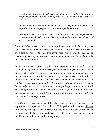- *Direct observation of illegal drug or alcohol use and/or the physical symptoms or manifestations of being under the influence of illegal drugs or alcohol;*
- *Abnormal conduct or erratic behavior while at work, including a significant degradation in an employee's or contractor's performance; or*
- *Information from a reliable and credible source that an employee has caused or contributed to an accident at work while under the influence of drugs or alcohol.*

Consent: *All employees required to undergo illegal drug or alcohol testing must sign a Reasonable Suspicion Drug and Alcohol Testing Authorization Form. If an employee refuses to sign this form, said refusal will be deemed an acknowledgement of the suspected drug or alcohol use, and he or she may be discharged immediately.* 

Positive result: *An employee required to undergo reasonable suspicion testing for illegal drugs or alcohol will be suspended immediately pending the results of the test. An employee who tests positive for illegal drugs or alcohol will have the opportunity to explain the result. If the employee's explanation is unacceptable, the Company will discharge the employee immediately. An employee whose test is negative for illegal drugs and alcohol will be reinstated immediately. A contractor who tests positive for illegal drugs or alcohol will have the opportunity to explain the results. If the explanation is unacceptable, the contractor will be prohibited from working for the Company and from working on Company premises.* 

The Company reserves the right to take whatever measures necessary and appropriate to implement this policy. This policy will become effective immediately and supersedes all earlier policies, whether written or oral, related to drugs and alcohol in the workplace. The Company reserves the right to modify or discontinue this policy at any time.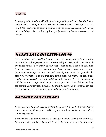#### *SMOKING*

*In keeping with Jan-Care/GEMS's intent to provide a safe and healthful work environment, smoking in the workplace is discouraged. Smoking is strictly prohibited inside any company building. Smoking areas are designated outside of the buildings. This policy applies equally to all employees, customers, and visitors.* 

# WORKPLACE INVESTIGATIONS

*At certain times Jan-Care/GEMS may require you to cooperate with an internal investigation. All employees have a responsibility to assist and cooperate with any investigation. As an employee your cooperation in any internal investigation is deemed necessary and is not optional. Your failure to cooperate, or your intentional sabotage of any internal investigation, can be grounds for disciplinary action, up to and including termination. All internal investigations conducted are considered confidential. All information given to management will be kept as confidential as practically possible. Your failure to keep confidential any information discussed during the course of an investigation can be grounds for corrective action, up to and including termination.* 

### PAYROLL PROCEDURES

*Employees will be paid weekly, preferably by direct deposit. If direct deposit cannot be accomplished your weekly pay check will be mailed to the address you have provided.* 

*Paystubs are available electronically through a secure website for employees. Each pay period you have the ability to go on-line and view or print your stubs*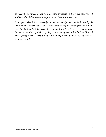*as needed. For those of you who do not participate in direct deposit, you will still have the ability to view and print your check stubs as needed.* 

*Employees who fail to correctly record and verify their worked time by the deadline may experience a delay in receiving their pay. Employees will only be paid for the time that they record. If an employee feels there has been an error in the calculation of their pay they are to complete and submit a "Payroll Discrepancy Form". Errors regarding an employee's pay will be addressed as soon as possible.*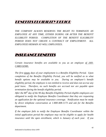### BENEFITS ELGIBILITY PERIOD

*THE COMPANY ALWAYS RESERVES THE RIGHT TO TERMINATE AN EMPLOYEE AT ANY TIME, EITHER DURING OR AFTER THE BENEFIT ELGIBILITY PERIOD. COMPLETION OF THE BENEFIT ELIGIBILITY PERIOD DOES NOT CREATE A CONTRACT OF EMPLOYMENT. ALL EMPLOYEES REMAIN AT-WILL EMPLOYEES.* 

#### INSURANCE BENEFITS

*Certain insurance benefits are available to you as an employee of JAN-CARE/GEMS.* 

*The first ninety days of your employment is a Benefits Eligibility Period. Upon completion of the Benefits Eligibility Period, you will be notified as to what benefit options may be available to you. During an employee's benefit eligibility period, the employee is not entitled to receive and does not accrue any paid leave. Therefore, no such benefits are accrued nor are payable upon termination during the benefit eligibility period.* 

*After the 80th day of the 90 day Benefits Eligibility Period eligible employees are obligated to notify the Employee Benefits Coordinator that they are requesting an application for the optional insurance coverage. Notification must be made by direct telephone conversation at 1-800-408-1173 and ask for the Benefits department.* 

*If the employee fails to notify the Employee Benefits Coordinator within the initial application period the employee may not be eligible to apply for health insurance until the open enrollment, which is January of each year. If you*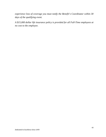*experience loss of coverage you must notify the Benefit's Coordinator within 30 days of the qualifying event.* 

*A \$15,000 dollar life insurance policy is provided for all Full-Time employees at no cost to the employee.*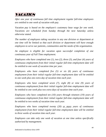# **VACATION**

*After one year of continuous full time employment regular full-time employees are entitled to one week of vacation with pay.* 

*Vacation pay is based on the employee's customary base wage for one week. Vacations are scheduled from Sunday through the next Saturday unless otherwise stated.* 

*The number of employees taking vacation in any one division or department at one time will be limited so that each division or department will have enough employees to serve our patients, communities and the needs of the organization.* 

*An employee is eligible for vacation upon successful completion of one continuous year of Full Time employment.* 

*Employees who have completed one (1), two (2), three (3), and four (4) years of continuous employment from their initial regular full-time employment date will be entitled to one week of vacation time per year.* 

*Employees who have completed five (5) or six (6) years of continuous employment from their initial regular full-time employment date will be entitled to one week plus one extra day of vacation time each year.* 

*Employees who have completed seven (7), eight (8) or nine (9) years of continuous employment from their initial regular full-time employment date will be entitled to one week plus two extra days of vacation time each year.* 

*Employees who have completed ten (10) years through nineteen (19) years of continuous employment from their initial regular full-time employment date will be entitled to two weeks of vacation time each year.* 

*Employees who have completed twenty (20) or more years of continuous employment from their initial regular full-time employment date will be entitled to three weeks of vacation time each year.* 

*Employees can take only one week of vacation at one time unless specifically authorized by management.*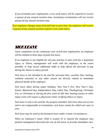*If you terminate your employment, a two week notice will be required to receive a payout of any unused vacation time; involuntary terminations will not receive payout of any unused vacation time.* 

*If an employee changes status from full-time to part-time, the employee will receive a payout of any unused vacation if given a two week notice.* 

# **SICK LEAVE**

*Upon completion of one continuous year of full-time employment, an employee will be entitled to three days of paid sick leave.* 

*If an employee is not eligible for sick pay and has to miss work for a legitimate injury or illness, management will work with the employee, to the extent possible, to help secure additional shifts to help off-set the decrease in pay during the illness or injury period.* 

*Sick leave is not intended to be used for personal time, vacation time, hunting, weekend extension or any other reason not directly related to immediate physical health of the employee.* 

*Sick leave taken during major holidays; New Year's Eve, New Year's Day, Easter, Memorial Day, Independence Day, Labor Day, Thanksgiving, Christmas Eve, or Christmas or during the first week of rifle deer hunting season or other major event will require a physician's letter verifying illness or injury.* 

*Sick leave is only to be used for the purpose intended. Sick leave does not accrue and is not compensable at termination; sick leave cannot be rolled over year to year.* 

*Sick leave may be used as bereavement leave under certain circumstances.* 

*When an employee's minor child is acutely ill or injured the employee may petition management discretion for use of sick leave to provide immediate care.*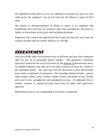*All regulations listed above to cover an employee's personal sick leave are also enforced for the employee's use of sick leave for the illness or injury of their child.* 

*Any misuse or misrepresentation of illness or injury or an employee who fraudulently uses sick leave for purposes other than intended per this policy is subject to disciplinary action up to and including discharge.* 

*Employees who exhaust the apportioned three paid sick days per year must use existing vacation days for further absences or call-offs.* 

## BEREAVEMENT

*Jan-Care/GEMS offers bereavement leave to full-time and part time employees after the loss of an immediate family member. The employee's immediate supervisor authorizes the use of sick leave for the purpose of bereavement leave. An eligible employee may take up to two days of paid sick leave for a death in the immediate family. The supervisor has the discretion to deny bereavement leave under exceptional circumstances. The immediate family includes: spouse, child, mother, father, sister, brother, mother-in-laws and father-in-law, brother and sister-in-law, grandparent and grandparent-in-law. If additional time is needed, vacation or unpaid personal leave may be taken with supervisory approval.* 

*Bereavement leave is not compensable if sick leave is exhausted.*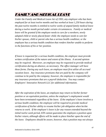# FAMILY AND MEDICAL LEAVE

*Under the Family and Medical Leave Act of 1993, any employee who has been employed for at least twelve months and has worked at least 1,250 hours during the past twelve months is entitled to twelve weeks of unpaid family medical leave during a twelve month period under certain circumstances. Family or medical leave will be granted if the employee needs to care for a newborn, newly adopted child or newly placed foster child; the employee needs to care for his/her spouse, child or parent who has a serious health condition; or the employee has a serious health condition that renders him/her unable to perform in the functions of his or her position.* 

*If leave is requested for a serious health condition, the employee must provide written certification of the nature and extent of the illness. A second opinion may be required. Moreover, an employee may be requested to provide medical certification during an absence, as necessary. The office manager will have these forms. During any such leave, an employee must first utilize all accrued vacation leave. Any insurance premiums that are paid by the company will continue to be paid by the company; however, the employee is responsible for any insurance premiums that are a payroll deduction. You may contact Employers' Innovative Network LLC for additional information.* 

*After the expiration of the leave, an employee may return to his/her former position or an equivalent position, unless the employee's employment would have been terminated regardless of the leave. If the employee's leave involves a serious health condition; the employee will be required to provide medical certification of his/her ability to resume his/her job obligation when he/she returns to work. If the employee's leave is for any reason extended beyond the initial twelve week period, EIN cannot guarantee the employee a position upon his/her return, although efforts will be made to place him/her upon the end of the leave. Employees should be aware, however, that a position may not always*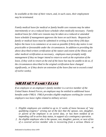*be available at the time of their return, and, in such cases, their employment may be terminated.* 

*Family medical leave for medical or family health care reasons may be taken intermittently or on a reduced leave schedule when medically necessary. Family medical leave for child care reasons may be taken on a reduced or amended leave schedule if management approves the leave on such basis. Requests for family or medical leave must be submitted in writing at least thirty (30) days before the leave is to commence or as soon as possible if thirty day notice is not practicable or foreseeable under the circumstances. In addition to providing the above described written certification of the nature and extent of the illness and other medical certification as necessary, employees must promptly notify management if they no longer intend to return to work at the expiration of the leave, if they wish to return at the end of the leave but may be unable to do so, if the circumstances described in the original certification have changed significantly, or if they desire an extension of the leave (but not to exceed a total of twelve weeks).* 

### MILITARY FAMILY LEAVE

*If an employee or an employee's family member is a service member of the United States Armed Forces, an employee may be entitled to additional leave benefits under FMLA. FMLA provides eligible employees working for covered employers two leave rights related to military service:* 

- *1. Eligible employees are entitled to up to 12 weeks of leave because of "any qualifying exigency" arising out of the fact that the spouse, son, daughter, or parent of the employee is on active duty, or has been notified of an impending call to active duty status, in support of a contingency operation.*
- *2. An eligible employee who is the spouse, son, daughter, parent, or next of kin of a covered service member who is recovering from a serious illness or*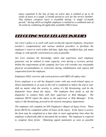*injury sustained in the line of duty on active duty is entitled to up to 26 weeks of leave in a single 12-month period to care for the service member. This military caregiver leave is available during "a single 12-month period," during which an eligible employee is entitled to a combined total of 26 weeks by combining all applicable available FMLA leave.* 

### REPORTING WORK RELATED INJURIES

*Jan Care's policy is to work with each on-the-job injured employee, Insurance (worker's compensation) and various medical providers to facilitate the employee's return to work (either full-duty, light duty, modified duty, job status change or with specific restrictions) as soon as possible.* 

*Jan Care assumes the knowledge, talent and experience each employee possesses can be utilized in some capacity, even during a recovery period. Within the requirements of the company Jan Care will consider any reasonable physical accommodation or restriction during rehabilitation and expects full cooperation from the employee.* 

*Employees WILL exercise safe work practices and OBEY all safety rules.* 

*Every employee is to call the dispatch center with any work-related injury or illness immediately or as soon as the call is completed or before the end or your shift no matter what the severity is, unless it's life threatening, and let the dispatcher know about the injury. The employee then needs to ask the dispatcher to connect them with their supervisor or Risk Manager. The employee MUST report the injury to the supervisor or Risk Manager. If the injury is life threatening, proceed to the nearest emergency department.* 

*The employee will complete an EIN Employee's Report of Injury Form. These forms MUST be completed within 24 hours of the injury. If the injury is severe, the form may be completed at a later date or more appropriate time when the employee is physically able to document the accident. The employee is required to complete these forms. Obtaining signed statements as soon as possible*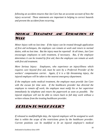*following an accident ensures that Jan Care has an accurate account of how the injury occurred. These statements are important in helping to correct hazards and prevent the accident from recurring.* 

### MEDICAL TREATMENT AND RESUMPTION OF WORK

*Minor Injury with no lost time: If the injury can be treated through application of first aid techniques, the employee can remain at work and return to normal duties, with no lost time. But the injury must be reported! At all times, Jan Care encourages employees to seek treatment, if necessary. But, if the employee determines it can be treated by first aid, then the employee can remain at work with first aid treatment.* 

*More Serious Injury: Employees, who experience an injury/illness which requires care beyond first aid, must be seen by a Preferred Provider of the workers' compensation carrier. Again, if it is a life threatening injury, the injured employee will be taken to the nearest emergency department.* 

*If the employee seeks medical treatment, the employee must provide Jan Care with the excuse for time seen. If the healthcare provider has directed the employee to remain off work; the employee must notify his or her supervisor immediately by telephone and return the paperwork as soon as possible. The injured employee will not be able to return back to full duty work without a written release from the treating healthcare provider.* 

### RETURN TO WORK POLICY

*If released to modified/light duty, the injured employee will be assigned to work that is within the scope of the restrictions given by the healthcare provider. Current positions can be modified to fit an injured employee's medical*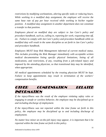*restrictions by modifying workstations, altering specific tasks or reducing hours. While working in a modified duty assignment, the employee will receive the same base rate of pay per hour received while working in his/her regular position. A modified duty assignment in another department does not constitute a transfer to that position.* 

*Employees placed on modified duty are subject to Jan Care's policy and procedure handbook, such as, calling in, reporting for work, requesting time off, etc. Failure to comply with Jan Care's policy and procedure handbook while on modified duty will result in the same discipline as set forth in Jan Care's policy and procedure handbook.* 

*Employees MUST keep Risk Management informed of current medical status. This includes providing the Risk Manager immediately with acceptable written medical documentation listing specific physical limitations, listing of all medications, and restrictions, if any, resulting from a job-related injury and imposed by the attending physician, so that transitional duty may be identified, when appropriate.* 

*All medical appointments scheduled by the treating physician MUST be kept. Failure to keep appointments may result in termination of the workers' compensation benefits.* 

# OTHER COMPENSATION RELATED INFORMATION

*If the injury/illness was the result of the employee violating safety rules or engaging in unsafe or careless behavior, the employee may be disciplined up to and including discharge of employment.* 

*If the injury/illness was not reported within the time frame set forth in this policy, the employee may be disciplined up to and including discharge of employment.* 

*No matter how minor an on-the-job injury may appear, it is important that it be reported within the time frame set forth in this policy.*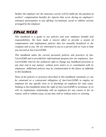*Neither the employer nor the insurance carrier will be liable for the payment of workers' compensation benefits for injuries that occur during an employee's voluntary participation in any off-duty recreational, social or athletic activity arranged by the employer.* 

### FINAL WORD

*This handbook is a guide to our policies and your employee benefits and responsibilities. We have made a sincere effort to provide a system of compensation and employment policies that are mutually beneficial to the company and to you. We are interested in you as a person and we want to help you succeed at Jan-Care/GEMS.* 

*This handbook states the current personnel policies and practices of Jan-Care/GEMS and is provided for informational purposes for our employees. Jan-Care/GEMS reserves the unilateral right to change any handbook provision at any time and in any manner, without prior notice to or consultation with its employees. Additional policies may be communicated in the future as addenda to this handbook.* 

*None of the policies or practices described in this handbook constitutes or can be construed as a contractual obligation of Jan-Care/GEMS to employ an employee for any specific term or to discharge an employee for only cause. Nothing in this handbook limits the right of Jan-Care/GEMS to terminate, at its will, its employment relationship with an employee for any reason or for no reason, with or without cause, at any time with or without notice or warning.*